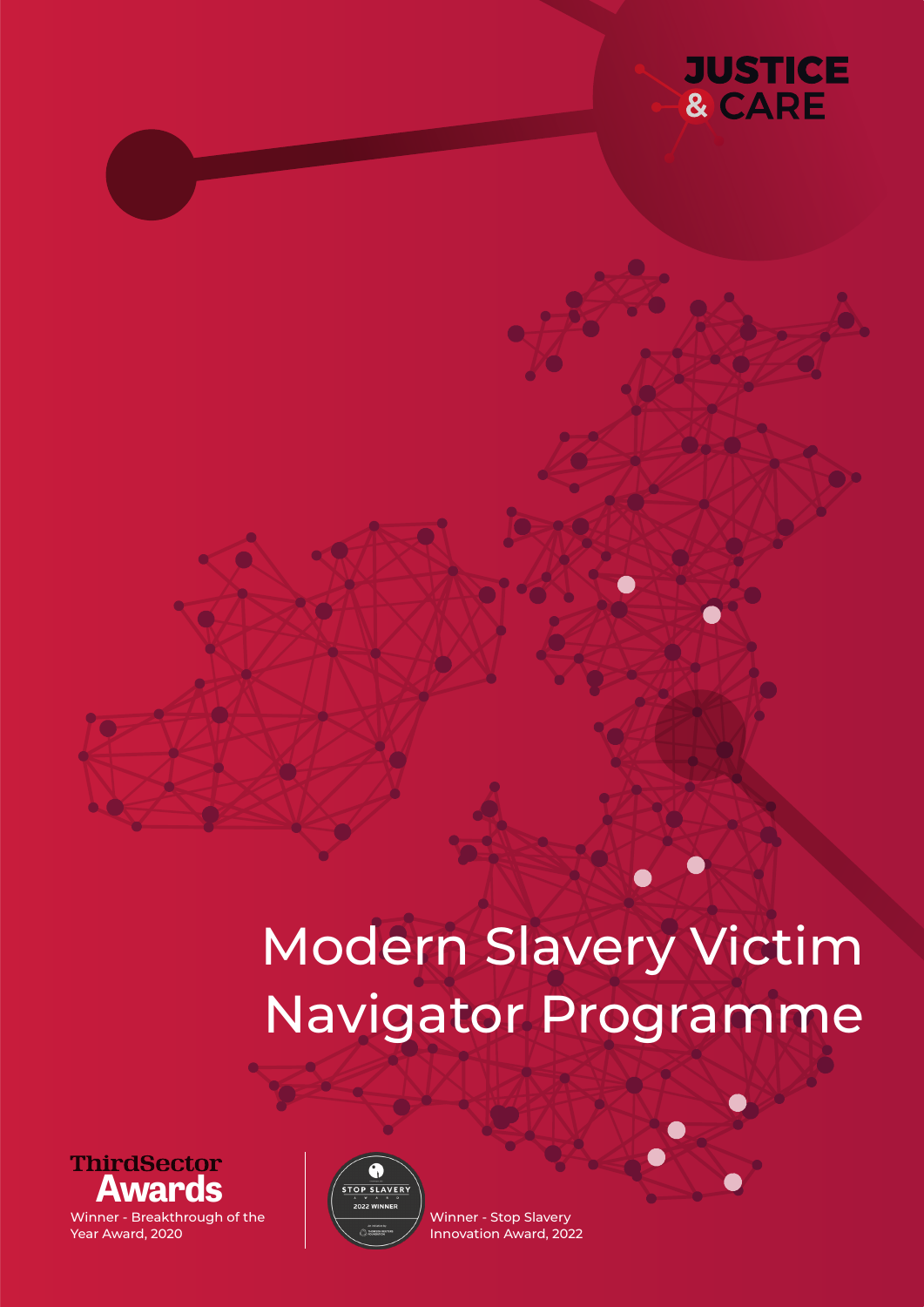

# Modern Slavery Victim Navigator Programme





Winner - Stop Slavery Innovation Award, 2022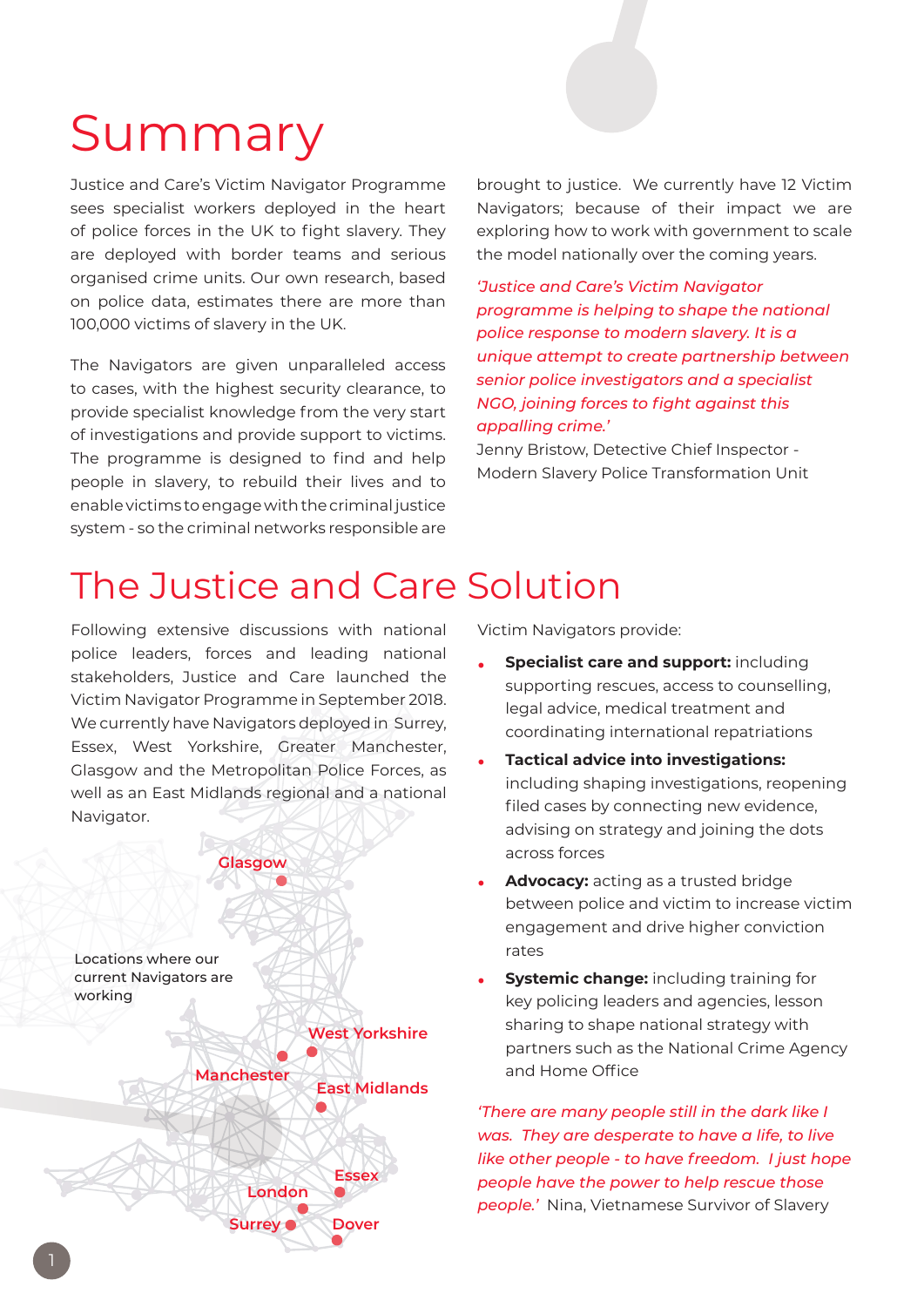## Summary

Justice and Care's Victim Navigator Programme sees specialist workers deployed in the heart of police forces in the UK to fight slavery. They are deployed with border teams and serious organised crime units. Our own research, based on police data, estimates there are more than 100,000 victims of slavery in the UK.

The Navigators are given unparalleled access to cases, with the highest security clearance, to provide specialist knowledge from the very start of investigations and provide support to victims. The programme is designed to find and help people in slavery, to rebuild their lives and to enable victims to engage with the criminal justice system - so the criminal networks responsible are

brought to justice. We currently have 12 Victim Navigators; because of their impact we are exploring how to work with government to scale the model nationally over the coming years.

*'Justice and Care's Victim Navigator programme is helping to shape the national police response to modern slavery. It is a unique attempt to create partnership between senior police investigators and a specialist NGO, joining forces to fight against this appalling crime.'*

Jenny Bristow, Detective Chief Inspector - Modern Slavery Police Transformation Unit

### The Justice and Care Solution

Following extensive discussions with national police leaders, forces and leading national stakeholders, Justice and Care launched the Victim Navigator Programme in September 2018. We currently have Navigators deployed in Surrey, Essex, West Yorkshire, Greater Manchester, Glasgow and the Metropolitan Police Forces, as well as an East Midlands regional and a national Navigator.



Victim Navigators provide:

- **• Specialist care and support:** including supporting rescues, access to counselling, legal advice, medical treatment and coordinating international repatriations
- **• Tactical advice into investigations:** including shaping investigations, reopening filed cases by connecting new evidence, advising on strategy and joining the dots across forces
- **• Advocacy:** acting as a trusted bridge between police and victim to increase victim engagement and drive higher conviction rates
- **• Systemic change:** including training for key policing leaders and agencies, lesson sharing to shape national strategy with partners such as the National Crime Agency and Home Office

*'There are many people still in the dark like I was. They are desperate to have a life, to live like other people - to have freedom. I just hope people have the power to help rescue those people.'* Nina, Vietnamese Survivor of Slavery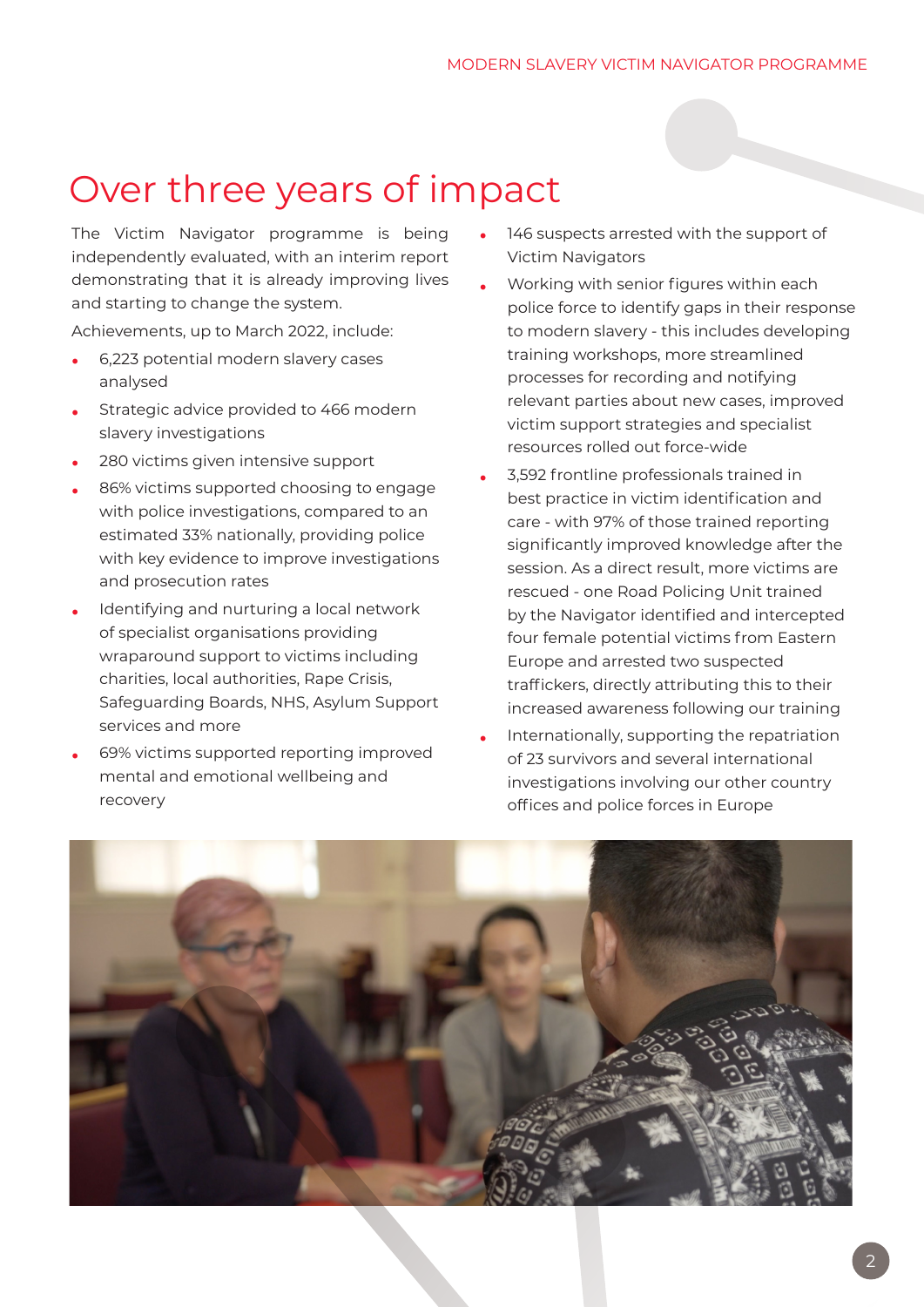### Over three years of impact

The Victim Navigator programme is being independently evaluated, with an interim report demonstrating that it is already improving lives and starting to change the system.

Achievements, up to March 2022, include:

- **•** 6,223 potential modern slavery cases analysed
- **•** Strategic advice provided to 466 modern slavery investigations
- **•** 280 victims given intensive support
- **•** 86% victims supported choosing to engage with police investigations, compared to an estimated 33% nationally, providing police with key evidence to improve investigations and prosecution rates
- **•** Identifying and nurturing a local network of specialist organisations providing wraparound support to victims including charities, local authorities, Rape Crisis, Safeguarding Boards, NHS, Asylum Support services and more
- **•** 69% victims supported reporting improved mental and emotional wellbeing and recovery
- **•** 146 suspects arrested with the support of Victim Navigators
- **•** Working with senior figures within each police force to identify gaps in their response to modern slavery - this includes developing training workshops, more streamlined processes for recording and notifying relevant parties about new cases, improved victim support strategies and specialist resources rolled out force-wide
- **•** 3,592 frontline professionals trained in best practice in victim identification and care - with 97% of those trained reporting significantly improved knowledge after the session. As a direct result, more victims are rescued - one Road Policing Unit trained by the Navigator identified and intercepted four female potential victims from Eastern Europe and arrested two suspected traffickers, directly attributing this to their increased awareness following our training
- **•** Internationally, supporting the repatriation of 23 survivors and several international investigations involving our other country offices and police forces in Europe